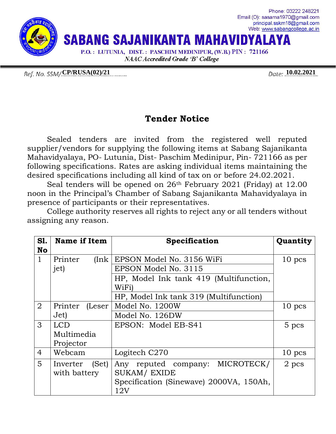

Ref. No. SSM/**CP/RUSA(02)/21** 2021

## **Tender Notice**

Sealed tenders are invited from the registered well reputed supplier/vendors for supplying the following items at Sabang Sajanikanta Mahavidyalaya, PO- Lutunia, Dist- Paschim Medinipur, Pin- 721166 as per following specifications. Rates are asking individual items maintaining the desired specifications including all kind of tax on or before 24.02.2021.

Seal tenders will be opened on 26th February 2021 (Friday) at 12.00 noon in the Principal's Chamber of Sabang Sajanikanta Mahavidyalaya in presence of participants or their representatives.

College authority reserves all rights to reject any or all tenders without assigning any reason.

| <b>S1.</b>     | Name if Item      | Specification                           | Quantity |
|----------------|-------------------|-----------------------------------------|----------|
| <b>No</b>      |                   |                                         |          |
| $\mathbf{1}$   | Printer<br>[Ink]  | EPSON Model No. 3156 WiFi               | $10$ pcs |
|                | jet)              | EPSON Model No. 3115                    |          |
|                |                   | HP, Model Ink tank 419 (Multifunction,  |          |
|                |                   | WiFi)                                   |          |
|                |                   | HP, Model Ink tank 319 (Multifunction)  |          |
| $\overline{2}$ | Printer (Leser    | Model No. 1200W                         | $10$ pcs |
|                | Jet)              | Model No. 126DW                         |          |
| 3              | LCD.              | EPSON: Model EB-S41                     | 5 pcs    |
|                | Multimedia        |                                         |          |
|                | Projector         |                                         |          |
| $\overline{4}$ | Webcam            | Logitech C270                           | $10$ pcs |
| 5              | (Set)<br>Inverter | MICROTECK/<br>Any reputed company:      | 2 pcs    |
|                | with battery      | <b>SUKAM/ EXIDE</b>                     |          |
|                |                   | Specification (Sinewave) 2000VA, 150Ah, |          |
|                |                   | 12V                                     |          |